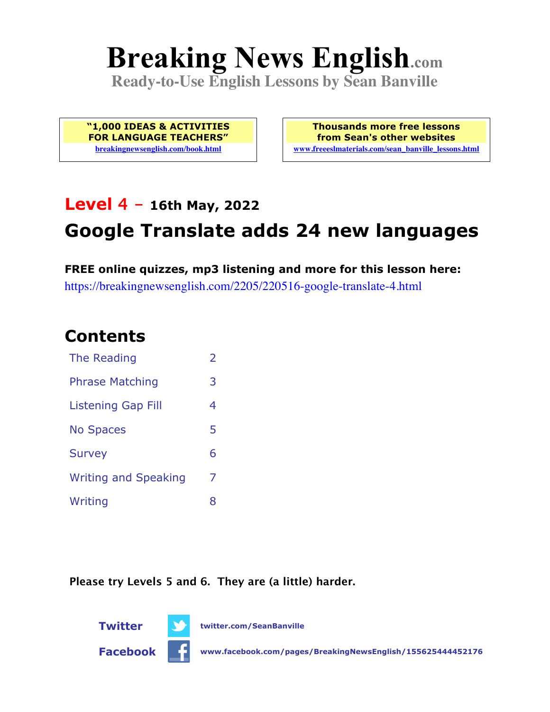# **Breaking News English.com**

**Ready-to-Use English Lessons by Sean Banville**

**"1,000 IDEAS & ACTIVITIES FOR LANGUAGE TEACHERS" breakingnewsenglish.com/book.html**

**Thousands more free lessons from Sean's other websites www.freeeslmaterials.com/sean\_banville\_lessons.html**

# **Level 4 - 16th May, 2022**

# **Google Translate adds 24 new languages**

**FREE online quizzes, mp3 listening and more for this lesson here:** https://breakingnewsenglish.com/2205/220516-google-translate-4.html

### **Contents**

| The Reading                 | $\overline{2}$ |
|-----------------------------|----------------|
| <b>Phrase Matching</b>      | 3              |
| <b>Listening Gap Fill</b>   | 4              |
| <b>No Spaces</b>            | 5              |
| <b>Survey</b>               | 6              |
| <b>Writing and Speaking</b> | 7              |
| Writing                     | 8              |

**Please try Levels 5 and 6. They are (a little) harder.**





**Twitter twitter.com/SeanBanville**

**Facebook www.facebook.com/pages/BreakingNewsEnglish/155625444452176**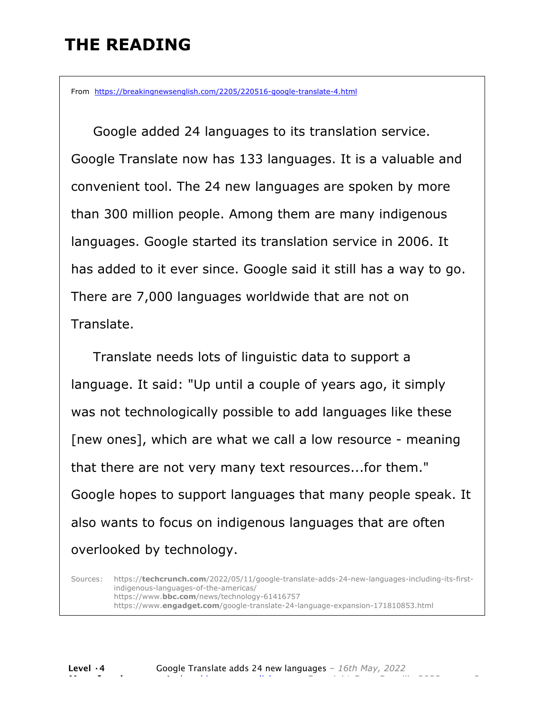# **THE READING**

From https://breakingnewsenglish.com/2205/220516-google-translate-4.html

 Google added 24 languages to its translation service. Google Translate now has 133 languages. It is a valuable and convenient tool. The 24 new languages are spoken by more than 300 million people. Among them are many indigenous languages. Google started its translation service in 2006. It has added to it ever since. Google said it still has a way to go. There are 7,000 languages worldwide that are not on Translate.

 Translate needs lots of linguistic data to support a language. It said: "Up until a couple of years ago, it simply was not technologically possible to add languages like these [new ones], which are what we call a low resource - meaning that there are not very many text resources...for them." Google hopes to support languages that many people speak. It also wants to focus on indigenous languages that are often overlooked by technology.

Sources: https://**techcrunch.com**/2022/05/11/google-translate-adds-24-new-languages-including-its-firstindigenous-languages-of-the-americas/ https://www.**bbc.com**/news/technology-61416757 https://www.**engadget.com**/google-translate-24-language-expansion-171810853.html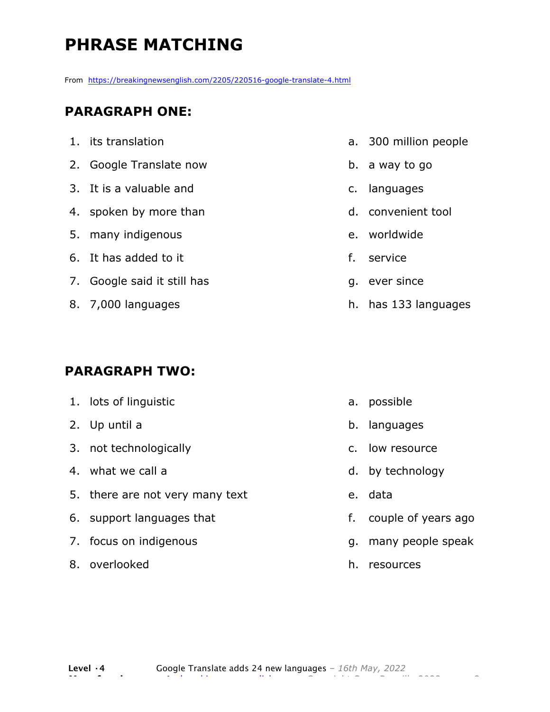# **PHRASE MATCHING**

From https://breakingnewsenglish.com/2205/220516-google-translate-4.html

#### **PARAGRAPH ONE:**

- 1. its translation 2. Google Translate now
- 3. It is a valuable and
- 4. spoken by more than
- 5. many indigenous
- 6. It has added to it
- 7. Google said it still has
- 8. 7,000 languages

#### **PARAGRAPH TWO:**

8. overlooked

| 1. lots of linguistic           |    | a. possible       |
|---------------------------------|----|-------------------|
| 2. Up until a                   |    | b. languages      |
| 3. not technologically          |    | c. low resource   |
| 4. what we call a               |    | d. by technology  |
| 5. there are not very many text |    | e. data           |
| 6. support languages that       | f. | couple of years   |
| 7. focus on indigenous          |    | g. many people sp |
|                                 |    |                   |

- a. 300 million people
- b. a way to go
- c. languages
- d. convenient tool
- e. worldwide
- f. service
- g. ever since
- h. has 133 languages

- ago
- eak
- h. resources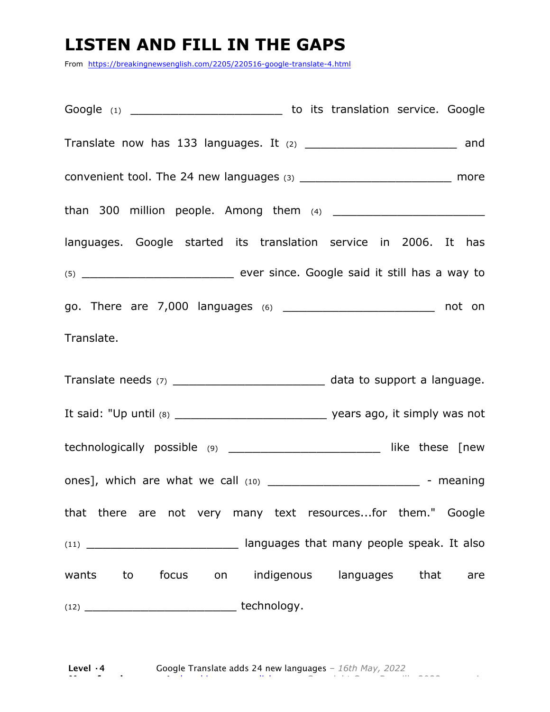# **LISTEN AND FILL IN THE GAPS**

From https://breakingnewsenglish.com/2205/220516-google-translate-4.html

Google (1) Google (1) Coogle (1) Coogle (2) Coogle in the service. Google Translate now has 133 languages. It (2) \_\_\_\_\_\_\_\_\_\_\_\_\_\_\_\_\_\_\_\_\_\_\_\_\_\_\_\_\_\_\_\_\_ and convenient tool. The 24 new languages  $(3)$  \_\_\_\_\_\_\_\_\_\_\_\_\_\_\_\_\_\_\_\_\_\_\_\_\_\_\_\_\_ more than 300 million people. Among them (4) \_\_\_\_\_\_\_\_\_\_\_\_\_\_\_\_\_\_\_ languages. Google started its translation service in 2006. It has (5) \_\_\_\_\_\_\_\_\_\_\_\_\_\_\_\_\_\_\_ ever since. Google said it still has a way to go. There are 7,000 languages (6) \_\_\_\_\_\_\_\_\_\_\_\_\_\_\_\_\_\_\_ not on Translate. Translate needs (7) \_\_\_\_\_\_\_\_\_\_\_\_\_\_\_\_\_\_\_\_\_\_\_\_\_ data to support a language. It said: "Up until (8) The said: "Up until (8) The same state of the same state of years ago, it simply was not technologically possible (9) \_\_\_\_\_\_\_\_\_\_\_\_\_\_\_\_\_\_\_ like these [new ones], which are what we call  $(10)$  \_\_\_\_\_\_\_\_\_\_\_\_\_\_\_\_\_\_\_\_\_\_\_\_\_\_\_\_\_ - meaning that there are not very many text resources...for them." Google (11) \_\_\_\_\_\_\_\_\_\_\_\_\_\_\_\_\_\_\_ languages that many people speak. It also wants to focus on indigenous languages that are  $(12)$   $\qquad \qquad$  technology.

**Level ·4** Google Translate adds 24 new languages *– 16th May, 2022* **More free lessons at** breakingnewsenglish.com - Copyright Sean Banville 2022 4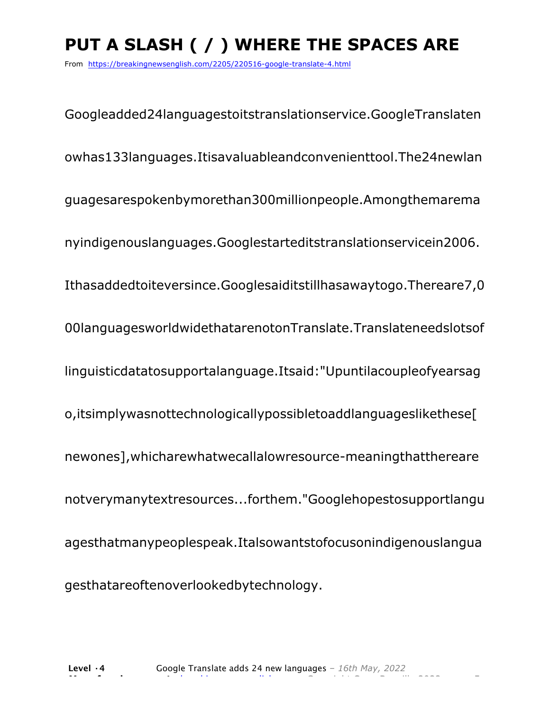# **PUT A SLASH ( / ) WHERE THE SPACES ARE**

From https://breakingnewsenglish.com/2205/220516-google-translate-4.html

Googleadded24languagestoitstranslationservice.GoogleTranslaten owhas133languages.Itisavaluableandconvenienttool.The24newlan guagesarespokenbymorethan300millionpeople.Amongthemarema nyindigenouslanguages.Googlestarteditstranslationservicein2006. Ithasaddedtoiteversince.Googlesaiditstillhasawaytogo.Thereare7,0 00languagesworldwidethatarenotonTranslate.Translateneedslotsof linguisticdatatosupportalanguage.Itsaid:"Upuntilacoupleofyearsag o,itsimplywasnottechnologicallypossibletoaddlanguageslikethese[ newones],whicharewhatwecallalowresource-meaningthatthereare notverymanytextresources...forthem."Googlehopestosupportlangu agesthatmanypeoplespeak.Italsowantstofocusonindigenouslangua gesthatareoftenoverlookedbytechnology.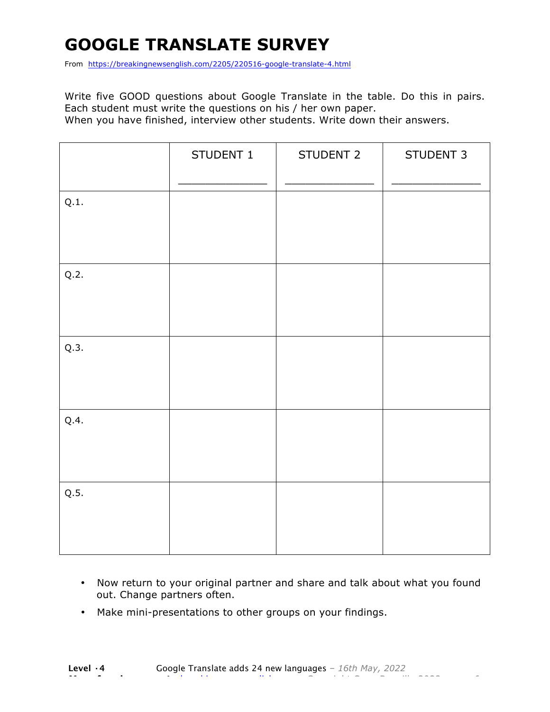# **GOOGLE TRANSLATE SURVEY**

From https://breakingnewsenglish.com/2205/220516-google-translate-4.html

Write five GOOD questions about Google Translate in the table. Do this in pairs. Each student must write the questions on his / her own paper. When you have finished, interview other students. Write down their answers.

|      | STUDENT 1 | STUDENT 2 | STUDENT 3 |
|------|-----------|-----------|-----------|
| Q.1. |           |           |           |
| Q.2. |           |           |           |
| Q.3. |           |           |           |
| Q.4. |           |           |           |
| Q.5. |           |           |           |

- Now return to your original partner and share and talk about what you found out. Change partners often.
- Make mini-presentations to other groups on your findings.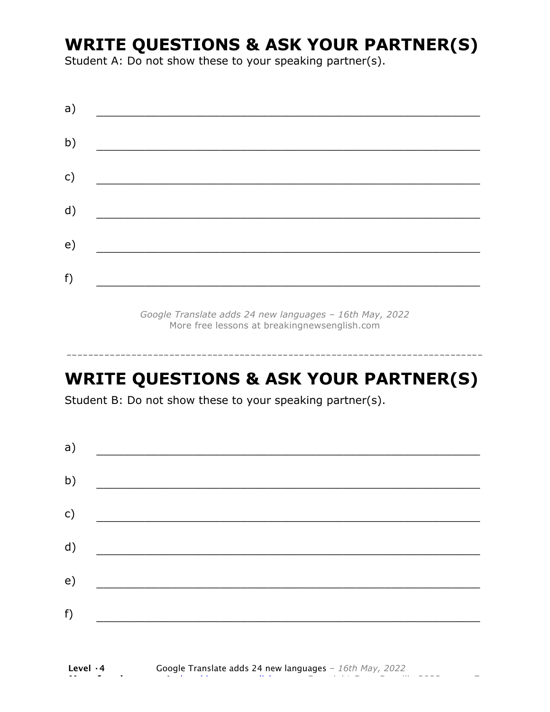### **WRITE QUESTIONS & ASK YOUR PARTNER(S)**

Student A: Do not show these to your speaking partner(s).

|  | <u>and the contract of the contract of the contract of the contract of the contract of the contract of the contract of the contract of the contract of the contract of the contract of the contract of the contract of the contr</u> |  |
|--|--------------------------------------------------------------------------------------------------------------------------------------------------------------------------------------------------------------------------------------|--|

*Google Translate adds 24 new languages – 16th May, 2022* More free lessons at breakingnewsenglish.com

### **WRITE QUESTIONS & ASK YOUR PARTNER(S)**

-----------------------------------------------------------------------------

Student B: Do not show these to your speaking partner(s).

| a)            |  |  |
|---------------|--|--|
| b)            |  |  |
| $\mathsf{c})$ |  |  |
| d)            |  |  |
| e)            |  |  |
| f)            |  |  |
|               |  |  |

**Level ·4** Google Translate adds 24 new languages *– 16th May, 2022* **More free lessons at** breakingnewsenglish.com - Copyright Sean Banville 2022 7